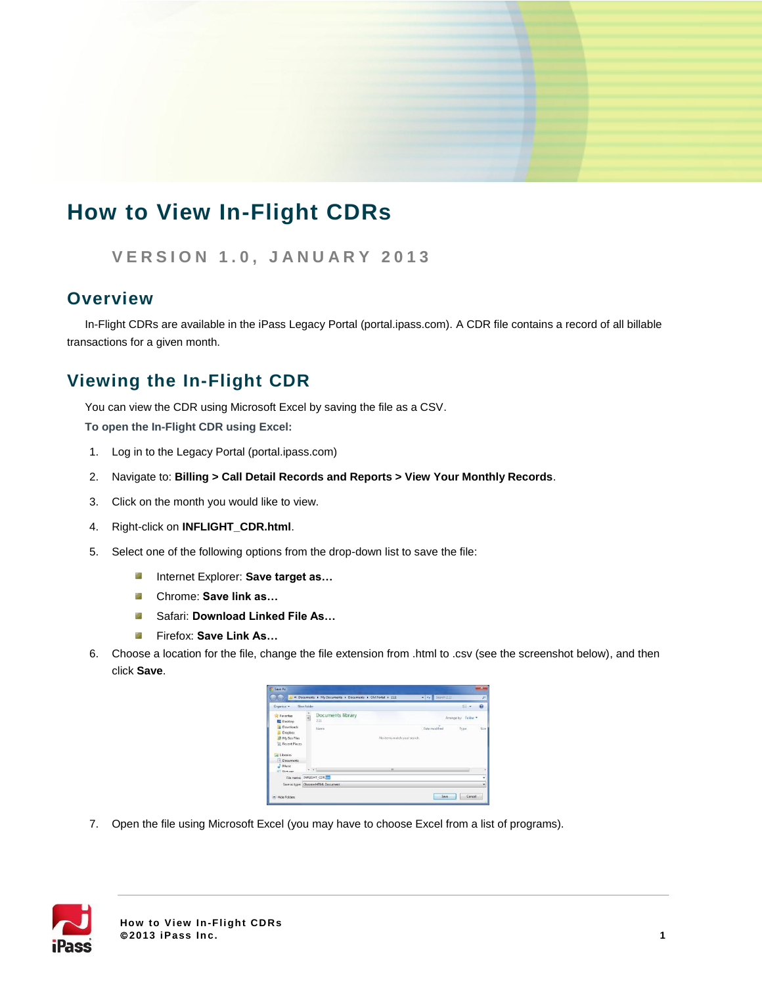# **How to View In-Flight CDRs**

**V E R S I O N 1 . 0 , J A N U A R Y 2 0 1 3**

### **Overview**

In-Flight CDRs are available in the iPass Legacy Portal (portal.ipass.com). A CDR file contains a record of all billable transactions for a given month.

## **Viewing the In-Flight CDR**

You can view the CDR using Microsoft Excel by saving the file as a CSV.

**To open the In-Flight CDR using Excel:**

- 1. Log in to the Legacy Portal (portal.ipass.com)
- 2. Navigate to: **Billing > Call Detail Records and Reports > View Your Monthly Records**.
- 3. Click on the month you would like to view.
- 4. Right-click on **INFLIGHT\_CDR.html**.
- 5. Select one of the following options from the drop-down list to save the file:
	- Internet Explorer: **Save target as…** 5,
	- ...<br>... Chrome: **Save link as…**
	- Safari: **Download Linked File As…** ri 2
	- Firefox: **Save Link As…** e.<br>Se
- 6. Choose a location for the file, change the file extension from .html to .csv (see the screenshot below), and then click **Save**.
	- Documents librar HT CDRA Save Cancel
- 7. Open the file using Microsoft Excel (you may have to choose Excel from a list of programs).

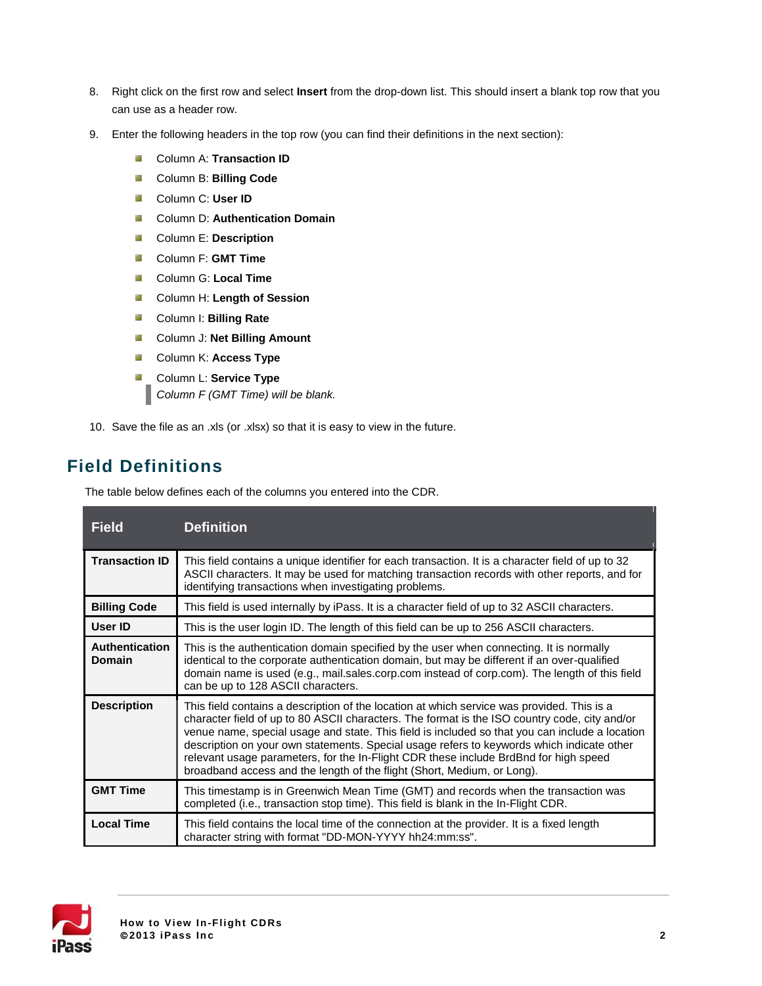- 8. Right click on the first row and select **Insert** from the drop-down list. This should insert a blank top row that you can use as a header row.
- 9. Enter the following headers in the top row (you can find their definitions in the next section):
	- 5.d Column A: **Transaction ID**
	- $\frac{1}{2}$ Column B: **Billing Code**
	- $\frac{1}{2}$ Column C: **User ID**
	- $\mathbb{R}^2$ Column D: **Authentication Domain**
	- **Column E: Description**
	- $\mathbb{R}^2$ Column F: **GMT Time**
	- **Column G: Local Time**
	- **Column H: Length of Session**
	- Column I: **Billing Rate**
	- **Column J: Net Billing Amount**
	- **Column K: Access Type**
	- **Column L: Service Type** *Column F (GMT Time) will be blank.*
- 10. Save the file as an .xls (or .xlsx) so that it is easy to view in the future.

### **Field Definitions**

The table below defines each of the columns you entered into the CDR.

| <b>Field</b>                    | <b>Definition</b>                                                                                                                                                                                                                                                                                                                                                                                                                                                                                                                                             |
|---------------------------------|---------------------------------------------------------------------------------------------------------------------------------------------------------------------------------------------------------------------------------------------------------------------------------------------------------------------------------------------------------------------------------------------------------------------------------------------------------------------------------------------------------------------------------------------------------------|
| <b>Transaction ID</b>           | This field contains a unique identifier for each transaction. It is a character field of up to 32<br>ASCII characters. It may be used for matching transaction records with other reports, and for<br>identifying transactions when investigating problems.                                                                                                                                                                                                                                                                                                   |
| <b>Billing Code</b>             | This field is used internally by iPass. It is a character field of up to 32 ASCII characters.                                                                                                                                                                                                                                                                                                                                                                                                                                                                 |
| User ID                         | This is the user login ID. The length of this field can be up to 256 ASCII characters.                                                                                                                                                                                                                                                                                                                                                                                                                                                                        |
| <b>Authentication</b><br>Domain | This is the authentication domain specified by the user when connecting. It is normally<br>identical to the corporate authentication domain, but may be different if an over-qualified<br>domain name is used (e.g., mail.sales.corp.com instead of corp.com). The length of this field<br>can be up to 128 ASCII characters.                                                                                                                                                                                                                                 |
| <b>Description</b>              | This field contains a description of the location at which service was provided. This is a<br>character field of up to 80 ASCII characters. The format is the ISO country code, city and/or<br>venue name, special usage and state. This field is included so that you can include a location<br>description on your own statements. Special usage refers to keywords which indicate other<br>relevant usage parameters, for the In-Flight CDR these include BrdBnd for high speed<br>broadband access and the length of the flight (Short, Medium, or Long). |
| <b>GMT Time</b>                 | This timestamp is in Greenwich Mean Time (GMT) and records when the transaction was<br>completed (i.e., transaction stop time). This field is blank in the In-Flight CDR.                                                                                                                                                                                                                                                                                                                                                                                     |
| <b>Local Time</b>               | This field contains the local time of the connection at the provider. It is a fixed length<br>character string with format "DD-MON-YYYY hh24:mm:ss".                                                                                                                                                                                                                                                                                                                                                                                                          |